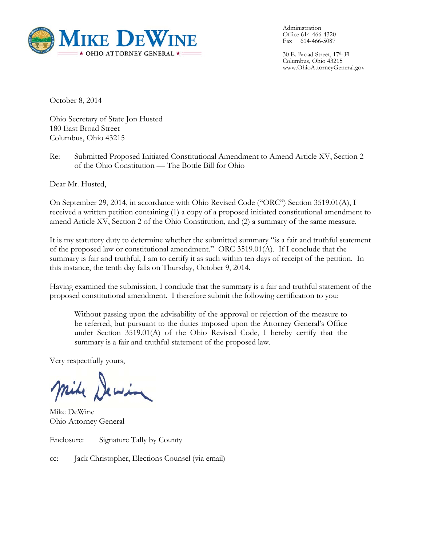

Administration Office 614-466-4320 Fax 614-466-5087

30 E. Broad Street, 17th Fl Columbus, Ohio 43215 www.OhioAttorneyGeneral.gov

October 8, 2014

Ohio Secretary of State Jon Husted 180 East Broad Street Columbus, Ohio 43215

Re: Submitted Proposed Initiated Constitutional Amendment to Amend Article XV, Section 2 of the Ohio Constitution — The Bottle Bill for Ohio

Dear Mr. Husted,

On September 29, 2014, in accordance with Ohio Revised Code ("ORC") Section 3519.01(A), I received a written petition containing (1) a copy of a proposed initiated constitutional amendment to amend Article XV, Section 2 of the Ohio Constitution, and (2) a summary of the same measure.

It is my statutory duty to determine whether the submitted summary "is a fair and truthful statement of the proposed law or constitutional amendment." ORC 3519.01(A). If I conclude that the summary is fair and truthful, I am to certify it as such within ten days of receipt of the petition. In this instance, the tenth day falls on Thursday, October 9, 2014.

Having examined the submission, I conclude that the summary is a fair and truthful statement of the proposed constitutional amendment. I therefore submit the following certification to you:

Without passing upon the advisability of the approval or rejection of the measure to be referred, but pursuant to the duties imposed upon the Attorney General's Office under Section 3519.01(A) of the Ohio Revised Code, I hereby certify that the summary is a fair and truthful statement of the proposed law.

Very respectfully yours,

Mike DeWine Ohio Attorney General

Enclosure: Signature Tally by County

cc: Jack Christopher, Elections Counsel (via email)